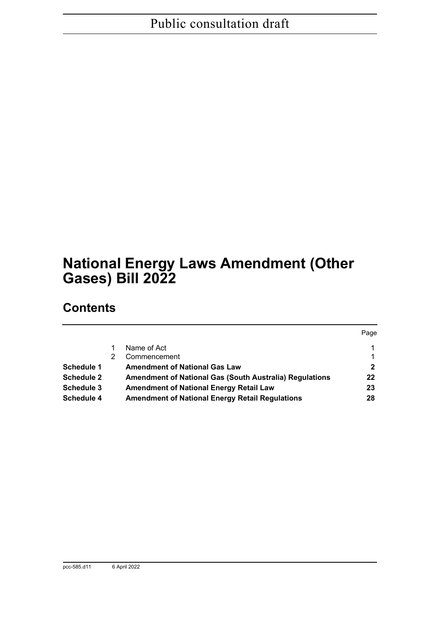# **National Energy Laws Amendment (Other Gases) Bill 2022**

# **Contents**

|                   |                                                                | Page |
|-------------------|----------------------------------------------------------------|------|
|                   | Name of Act                                                    |      |
|                   | Commencement                                                   |      |
| Schedule 1        | <b>Amendment of National Gas Law</b>                           | 2    |
| <b>Schedule 2</b> | <b>Amendment of National Gas (South Australia) Regulations</b> | 22   |
| <b>Schedule 3</b> | <b>Amendment of National Energy Retail Law</b>                 | 23   |
| <b>Schedule 4</b> | <b>Amendment of National Energy Retail Regulations</b>         | 28   |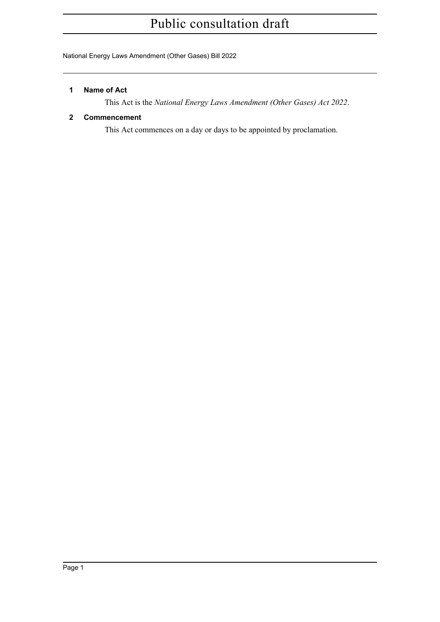National Energy Laws Amendment (Other Gases) Bill 2022

#### <span id="page-1-0"></span>**1 Name of Act**

This Act is the *National Energy Laws Amendment (Other Gases) Act 2022*.

# <span id="page-1-1"></span>**2 Commencement**

This Act commences on a day or days to be appointed by proclamation.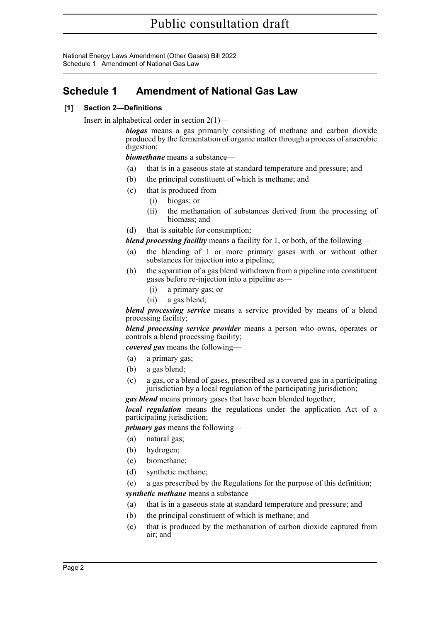National Energy Laws Amendment (Other Gases) Bill 2022 Schedule 1 Amendment of National Gas Law

# <span id="page-2-0"></span>**Schedule 1 Amendment of National Gas Law**

# **[1] Section 2—Definitions**

Insert in alphabetical order in section 2(1)—

*biogas* means a gas primarily consisting of methane and carbon dioxide produced by the fermentation of organic matter through a process of anaerobic digestion;

*biomethane* means a substance—

- (a) that is in a gaseous state at standard temperature and pressure; and
- (b) the principal constituent of which is methane; and
- (c) that is produced from—
	- (i) biogas; or
	- (ii) the methanation of substances derived from the processing of biomass; and
- (d) that is suitable for consumption;

*blend processing facility* means a facility for 1, or both, of the following—

- (a) the blending of 1 or more primary gases with or without other substances for injection into a pipeline;
- (b) the separation of a gas blend withdrawn from a pipeline into constituent gases before re-injection into a pipeline as—
	- (i) a primary gas; or
	- (ii) a gas blend;

*blend processing service* means a service provided by means of a blend processing facility;

*blend processing service provider* means a person who owns, operates or controls a blend processing facility;

*covered gas* means the following—

- (a) a primary gas;
- (b) a gas blend;
- (c) a gas, or a blend of gases, prescribed as a covered gas in a participating jurisdiction by a local regulation of the participating jurisdiction;

*gas blend* means primary gases that have been blended together;

*local regulation* means the regulations under the application Act of a participating jurisdiction;

*primary gas* means the following—

- (a) natural gas;
- (b) hydrogen;
- (c) biomethane;
- (d) synthetic methane;
- (e) a gas prescribed by the Regulations for the purpose of this definition;

*synthetic methane* means a substance—

- (a) that is in a gaseous state at standard temperature and pressure; and
- (b) the principal constituent of which is methane; and
- (c) that is produced by the methanation of carbon dioxide captured from air; and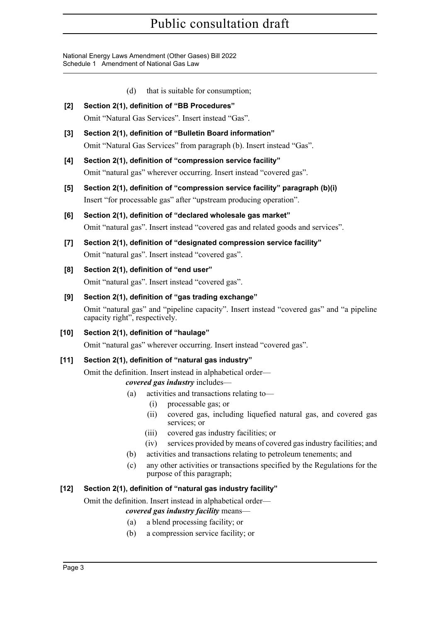National Energy Laws Amendment (Other Gases) Bill 2022 Schedule 1 Amendment of National Gas Law

- (d) that is suitable for consumption;
- **[2] Section 2(1), definition of "BB Procedures"** Omit "Natural Gas Services". Insert instead "Gas".
- **[3] Section 2(1), definition of "Bulletin Board information"** Omit "Natural Gas Services" from paragraph (b). Insert instead "Gas".
- **[4] Section 2(1), definition of "compression service facility"** Omit "natural gas" wherever occurring. Insert instead "covered gas".
- **[5] Section 2(1), definition of "compression service facility" paragraph (b)(i)** Insert "for processable gas" after "upstream producing operation".
- **[6] Section 2(1), definition of "declared wholesale gas market"** Omit "natural gas". Insert instead "covered gas and related goods and services".
- **[7] Section 2(1), definition of "designated compression service facility"** Omit "natural gas". Insert instead "covered gas".
- **[8] Section 2(1), definition of "end user"** Omit "natural gas". Insert instead "covered gas".
- **[9] Section 2(1), definition of "gas trading exchange"** Omit "natural gas" and "pipeline capacity". Insert instead "covered gas" and "a pipeline capacity right", respectively.
- **[10] Section 2(1), definition of "haulage"** Omit "natural gas" wherever occurring. Insert instead "covered gas".

# **[11] Section 2(1), definition of "natural gas industry"**

Omit the definition. Insert instead in alphabetical order—

*covered gas industry* includes—

- (a) activities and transactions relating to—
	- (i) processable gas; or
	- (ii) covered gas, including liquefied natural gas, and covered gas services; or
	- (iii) covered gas industry facilities; or
	- (iv) services provided by means of covered gas industry facilities; and
- (b) activities and transactions relating to petroleum tenements; and
- (c) any other activities or transactions specified by the Regulations for the purpose of this paragraph;

# **[12] Section 2(1), definition of "natural gas industry facility"**

Omit the definition. Insert instead in alphabetical order—

# *covered gas industry facility* means—

- (a) a blend processing facility; or
- (b) a compression service facility; or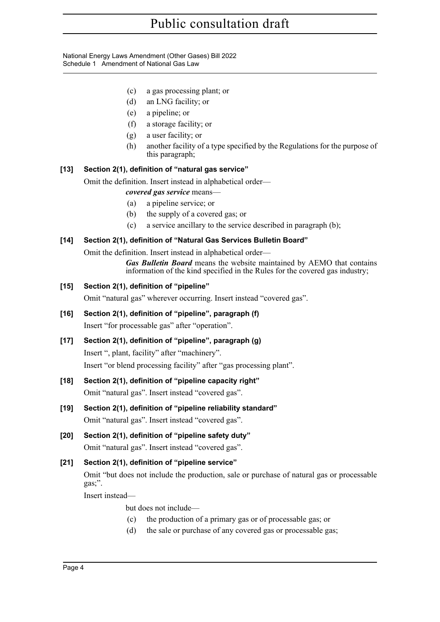National Energy Laws Amendment (Other Gases) Bill 2022 Schedule 1 Amendment of National Gas Law

- (c) a gas processing plant; or
- (d) an LNG facility; or
- (e) a pipeline; or
- (f) a storage facility; or
- (g) a user facility; or
- (h) another facility of a type specified by the Regulations for the purpose of this paragraph;

# **[13] Section 2(1), definition of "natural gas service"**

Omit the definition. Insert instead in alphabetical order—

- *covered gas service* means—
- (a) a pipeline service; or
- (b) the supply of a covered gas; or
- (c) a service ancillary to the service described in paragraph (b);

# **[14] Section 2(1), definition of "Natural Gas Services Bulletin Board"**

Omit the definition. Insert instead in alphabetical order—

*Gas Bulletin Board* means the website maintained by AEMO that contains information of the kind specified in the Rules for the covered gas industry;

# **[15] Section 2(1), definition of "pipeline"**

Omit "natural gas" wherever occurring. Insert instead "covered gas".

- **[16] Section 2(1), definition of "pipeline", paragraph (f)** Insert "for processable gas" after "operation".
- **[17] Section 2(1), definition of "pipeline", paragraph (g)** Insert ", plant, facility" after "machinery". Insert "or blend processing facility" after "gas processing plant".
- **[18] Section 2(1), definition of "pipeline capacity right"** Omit "natural gas". Insert instead "covered gas".
- **[19] Section 2(1), definition of "pipeline reliability standard"** Omit "natural gas". Insert instead "covered gas".
- **[20] Section 2(1), definition of "pipeline safety duty"** Omit "natural gas". Insert instead "covered gas".
- **[21] Section 2(1), definition of "pipeline service"** Omit "but does not include the production, sale or purchase of natural gas or processable gas;".

Insert instead—

but does not include—

- (c) the production of a primary gas or of processable gas; or
- (d) the sale or purchase of any covered gas or processable gas;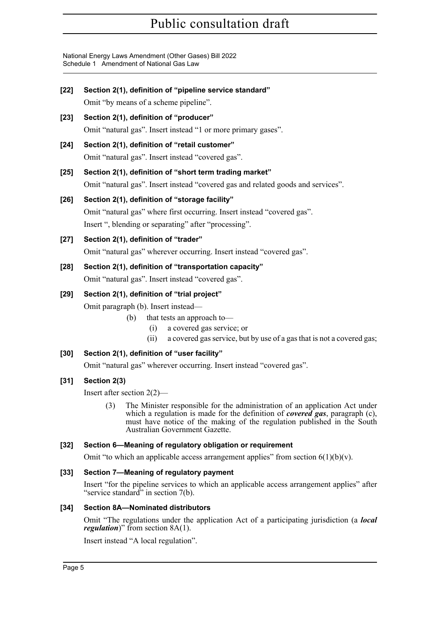National Energy Laws Amendment (Other Gases) Bill 2022 Schedule 1 Amendment of National Gas Law

| $[22]$ | Section 2(1), definition of "pipeline service standard"                                                                                                                                                                                                                         |  |  |  |  |  |
|--------|---------------------------------------------------------------------------------------------------------------------------------------------------------------------------------------------------------------------------------------------------------------------------------|--|--|--|--|--|
|        | Omit "by means of a scheme pipeline".                                                                                                                                                                                                                                           |  |  |  |  |  |
| $[23]$ | Section 2(1), definition of "producer"                                                                                                                                                                                                                                          |  |  |  |  |  |
|        | Omit "natural gas". Insert instead "1 or more primary gases".                                                                                                                                                                                                                   |  |  |  |  |  |
| $[24]$ | Section 2(1), definition of "retail customer"                                                                                                                                                                                                                                   |  |  |  |  |  |
|        | Omit "natural gas". Insert instead "covered gas".                                                                                                                                                                                                                               |  |  |  |  |  |
| $[25]$ | Section 2(1), definition of "short term trading market"                                                                                                                                                                                                                         |  |  |  |  |  |
|        | Omit "natural gas". Insert instead "covered gas and related goods and services".                                                                                                                                                                                                |  |  |  |  |  |
| $[26]$ | Section 2(1), definition of "storage facility"                                                                                                                                                                                                                                  |  |  |  |  |  |
|        | Omit "natural gas" where first occurring. Insert instead "covered gas".                                                                                                                                                                                                         |  |  |  |  |  |
|        | Insert ", blending or separating" after "processing".                                                                                                                                                                                                                           |  |  |  |  |  |
| $[27]$ | Section 2(1), definition of "trader"                                                                                                                                                                                                                                            |  |  |  |  |  |
|        | Omit "natural gas" wherever occurring. Insert instead "covered gas".                                                                                                                                                                                                            |  |  |  |  |  |
| $[28]$ | Section 2(1), definition of "transportation capacity"                                                                                                                                                                                                                           |  |  |  |  |  |
|        | Omit "natural gas". Insert instead "covered gas".                                                                                                                                                                                                                               |  |  |  |  |  |
| $[29]$ | Section 2(1), definition of "trial project"                                                                                                                                                                                                                                     |  |  |  |  |  |
|        | Omit paragraph (b). Insert instead-                                                                                                                                                                                                                                             |  |  |  |  |  |
|        | that tests an approach to-<br>(b)                                                                                                                                                                                                                                               |  |  |  |  |  |
|        | a covered gas service; or<br>(i)<br>a covered gas service, but by use of a gas that is not a covered gas;<br>(ii)                                                                                                                                                               |  |  |  |  |  |
|        |                                                                                                                                                                                                                                                                                 |  |  |  |  |  |
| $[30]$ | Section 2(1), definition of "user facility"<br>Omit "natural gas" wherever occurring. Insert instead "covered gas".                                                                                                                                                             |  |  |  |  |  |
|        |                                                                                                                                                                                                                                                                                 |  |  |  |  |  |
| $[31]$ | Section 2(3)                                                                                                                                                                                                                                                                    |  |  |  |  |  |
|        | Insert after section $2(2)$ —                                                                                                                                                                                                                                                   |  |  |  |  |  |
|        | The Minister responsible for the administration of an application Act under<br>(3)<br>which a regulation is made for the definition of covered gas, paragraph (c),<br>must have notice of the making of the regulation published in the South<br>Australian Government Gazette. |  |  |  |  |  |
| $[32]$ | Section 6-Meaning of regulatory obligation or requirement                                                                                                                                                                                                                       |  |  |  |  |  |
|        | Omit "to which an applicable access arrangement applies" from section $6(1)(b)(v)$ .                                                                                                                                                                                            |  |  |  |  |  |
| $[33]$ | Section 7-Meaning of regulatory payment                                                                                                                                                                                                                                         |  |  |  |  |  |
|        | Insert "for the pipeline services to which an applicable access arrangement applies" after<br>"service standard" in section 7(b).                                                                                                                                               |  |  |  |  |  |
| $[34]$ | <b>Section 8A-Nominated distributors</b>                                                                                                                                                                                                                                        |  |  |  |  |  |
|        | Omit "The regulations under the application Act of a participating jurisdiction (a <i>local</i><br><i>regulation</i> )" from section 8A(1).                                                                                                                                     |  |  |  |  |  |

Insert instead "A local regulation".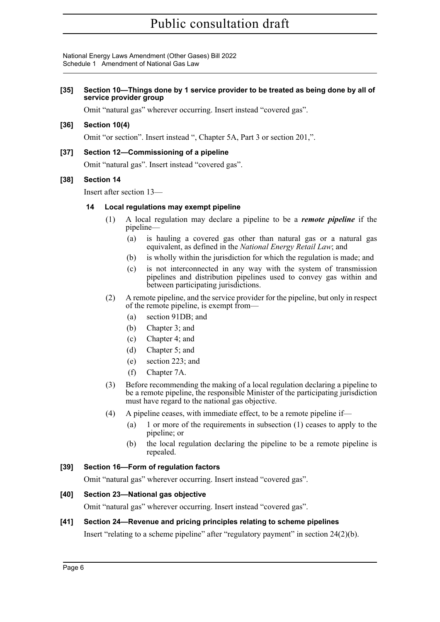National Energy Laws Amendment (Other Gases) Bill 2022 Schedule 1 Amendment of National Gas Law

#### **[35] Section 10—Things done by 1 service provider to be treated as being done by all of service provider group**

Omit "natural gas" wherever occurring. Insert instead "covered gas".

#### **[36] Section 10(4)**

Omit "or section". Insert instead ", Chapter 5A, Part 3 or section [201,](#page-14-0)".

#### **[37] Section 12—Commissioning of a pipeline**

Omit "natural gas". Insert instead "covered gas".

#### **[38] Section 14**

Insert after section 13—

#### **14 Local regulations may exempt pipeline**

- (1) A local regulation may declare a pipeline to be a *remote pipeline* if the pipeline—
	- (a) is hauling a covered gas other than natural gas or a natural gas equivalent, as defined in the *National Energy Retail Law*; and
	- (b) is wholly within the jurisdiction for which the regulation is made; and
	- (c) is not interconnected in any way with the system of transmission pipelines and distribution pipelines used to convey gas within and between participating jurisdictions.
- (2) A remote pipeline, and the service provider for the pipeline, but only in respect of the remote pipeline, is exempt from—
	- (a) section 91DB; and
	- (b) Chapter 3; and
	- (c) Chapter 4; and
	- (d) Chapter 5; and
	- (e) section 223; and
	- (f) Chapter 7A.
- (3) Before recommending the making of a local regulation declaring a pipeline to be a remote pipeline, the responsible Minister of the participating jurisdiction must have regard to the national gas objective.
- (4) A pipeline ceases, with immediate effect, to be a remote pipeline if—
	- (a) 1 or more of the requirements in subsection (1) ceases to apply to the pipeline; or
	- (b) the local regulation declaring the pipeline to be a remote pipeline is repealed.

#### **[39] Section 16—Form of regulation factors**

Omit "natural gas" wherever occurring. Insert instead "covered gas".

#### **[40] Section 23—National gas objective**

Omit "natural gas" wherever occurring. Insert instead "covered gas".

#### **[41] Section 24—Revenue and pricing principles relating to scheme pipelines**

Insert "relating to a scheme pipeline" after "regulatory payment" in section 24(2)(b).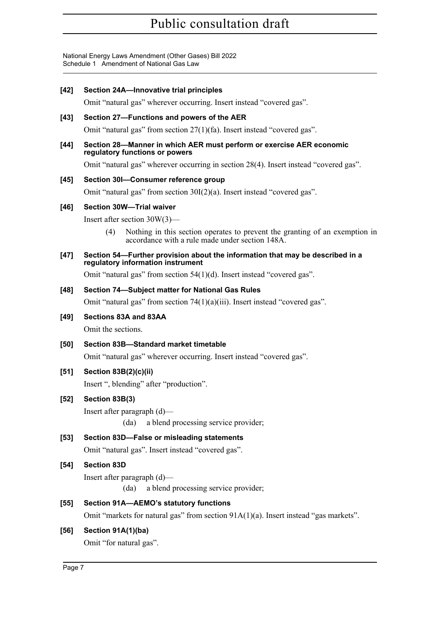National Energy Laws Amendment (Other Gases) Bill 2022 Schedule 1 Amendment of National Gas Law

#### **[42] Section 24A—Innovative trial principles**

Omit "natural gas" wherever occurring. Insert instead "covered gas".

#### **[43] Section 27—Functions and powers of the AER**

Omit "natural gas" from section 27(1)(fa). Insert instead "covered gas".

#### **[44] Section 28—Manner in which AER must perform or exercise AER economic regulatory functions or powers**

Omit "natural gas" wherever occurring in section 28(4). Insert instead "covered gas".

#### **[45] Section 30I—Consumer reference group**

Omit "natural gas" from section 30I(2)(a). Insert instead "covered gas".

#### **[46] Section 30W—Trial waiver**

Insert after section 30W(3)—

(4) Nothing in this section operates to prevent the granting of an exemption in accordance with a rule made under section 148A.

#### **[47] Section 54—Further provision about the information that may be described in a regulatory information instrument**

Omit "natural gas" from section 54(1)(d). Insert instead "covered gas".

#### **[48] Section 74—Subject matter for National Gas Rules**

Omit "natural gas" from section 74(1)(a)(iii). Insert instead "covered gas".

#### **[49] Sections 83A and 83AA**

Omit the sections.

# **[50] Section 83B—Standard market timetable**

Omit "natural gas" wherever occurring. Insert instead "covered gas".

# **[51] Section 83B(2)(c)(ii)**

Insert ", blending" after "production".

#### **[52] Section 83B(3)**

Insert after paragraph (d)—

(da) a blend processing service provider;

# **[53] Section 83D—False or misleading statements**

Omit "natural gas". Insert instead "covered gas".

# **[54] Section 83D**

Insert after paragraph (d)—

(da) a blend processing service provider;

# **[55] Section 91A—AEMO's statutory functions**

Omit "markets for natural gas" from section  $91A(1)(a)$ . Insert instead "gas markets".

# **[56] Section 91A(1)(ba)**

Omit "for natural gas".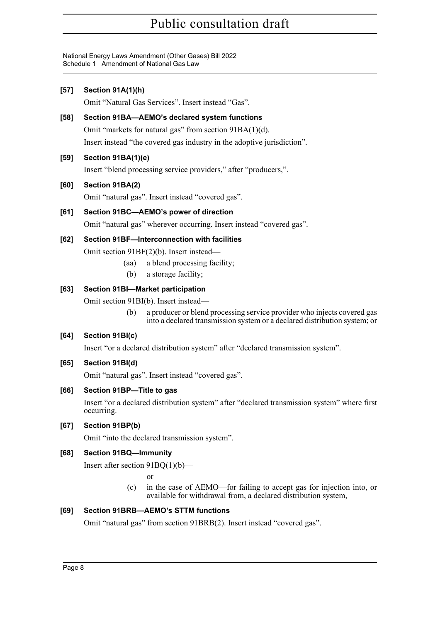National Energy Laws Amendment (Other Gases) Bill 2022 Schedule 1 Amendment of National Gas Law

# **[57] Section 91A(1)(h)**

Omit "Natural Gas Services". Insert instead "Gas".

# **[58] Section 91BA—AEMO's declared system functions**

Omit "markets for natural gas" from section 91BA(1)(d).

Insert instead "the covered gas industry in the adoptive jurisdiction".

# **[59] Section 91BA(1)(e)**

Insert "blend processing service providers," after "producers,".

# **[60] Section 91BA(2)**

Omit "natural gas". Insert instead "covered gas".

# **[61] Section 91BC—AEMO's power of direction**

Omit "natural gas" wherever occurring. Insert instead "covered gas".

#### **[62] Section 91BF—Interconnection with facilities**

Omit section 91BF(2)(b). Insert instead—

- (aa) a blend processing facility;
- (b) a storage facility;

# **[63] Section 91BI—Market participation**

Omit section 91BI(b). Insert instead—

(b) a producer or blend processing service provider who injects covered gas into a declared transmission system or a declared distribution system; or

# **[64] Section 91BI(c)**

Insert "or a declared distribution system" after "declared transmission system".

# **[65] Section 91BI(d)**

Omit "natural gas". Insert instead "covered gas".

# **[66] Section 91BP—Title to gas**

Insert "or a declared distribution system" after "declared transmission system" where first occurring.

# **[67] Section 91BP(b)**

Omit "into the declared transmission system".

# **[68] Section 91BQ—Immunity**

Insert after section 91BQ(1)(b)—

or

(c) in the case of AEMO—for failing to accept gas for injection into, or available for withdrawal from, a declared distribution system,

# **[69] Section 91BRB—AEMO's STTM functions**

Omit "natural gas" from section 91BRB(2). Insert instead "covered gas".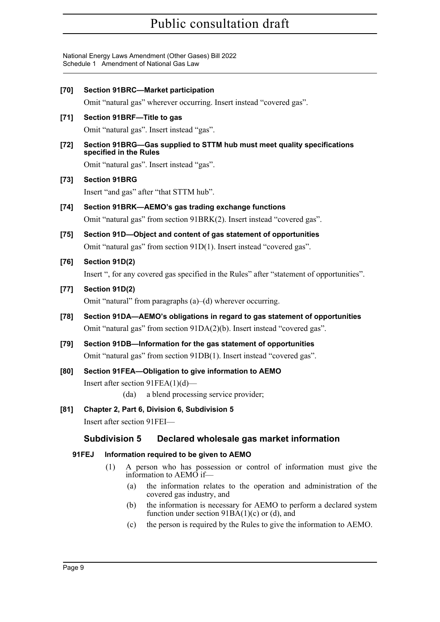National Energy Laws Amendment (Other Gases) Bill 2022 Schedule 1 Amendment of National Gas Law

| [70]   | <b>Section 91BRC-Market participation</b><br>Omit "natural gas" wherever occurring. Insert instead "covered gas".                                        |                                                                 |      |                                                                                                                                      |  |  |  |  |  |
|--------|----------------------------------------------------------------------------------------------------------------------------------------------------------|-----------------------------------------------------------------|------|--------------------------------------------------------------------------------------------------------------------------------------|--|--|--|--|--|
|        |                                                                                                                                                          |                                                                 |      |                                                                                                                                      |  |  |  |  |  |
| $[71]$ | Section 91BRF-Title to gas<br>Omit "natural gas". Insert instead "gas".                                                                                  |                                                                 |      |                                                                                                                                      |  |  |  |  |  |
| [72]   | Section 91BRG-Gas supplied to STTM hub must meet quality specifications<br>specified in the Rules<br>Omit "natural gas". Insert instead "gas".           |                                                                 |      |                                                                                                                                      |  |  |  |  |  |
| $[73]$ | <b>Section 91BRG</b>                                                                                                                                     |                                                                 |      |                                                                                                                                      |  |  |  |  |  |
|        |                                                                                                                                                          | Insert "and gas" after "that STTM hub".                         |      |                                                                                                                                      |  |  |  |  |  |
| $[74]$ | Section 91BRK-AEMO's gas trading exchange functions<br>Omit "natural gas" from section 91BRK(2). Insert instead "covered gas".                           |                                                                 |      |                                                                                                                                      |  |  |  |  |  |
| [75]   | Section 91D-Object and content of gas statement of opportunities<br>Omit "natural gas" from section 91D(1). Insert instead "covered gas".                |                                                                 |      |                                                                                                                                      |  |  |  |  |  |
| [76]   | Section 91D(2)<br>Insert ", for any covered gas specified in the Rules" after "statement of opportunities".                                              |                                                                 |      |                                                                                                                                      |  |  |  |  |  |
| $[77]$ | Section 91D(2)<br>Omit "natural" from paragraphs $(a)$ –(d) wherever occurring.                                                                          |                                                                 |      |                                                                                                                                      |  |  |  |  |  |
| $[78]$ | Section 91DA-AEMO's obligations in regard to gas statement of opportunities<br>Omit "natural gas" from section 91DA(2)(b). Insert instead "covered gas". |                                                                 |      |                                                                                                                                      |  |  |  |  |  |
| [79]   |                                                                                                                                                          | Section 91DB-Information for the gas statement of opportunities |      |                                                                                                                                      |  |  |  |  |  |
|        |                                                                                                                                                          |                                                                 |      | Omit "natural gas" from section 91DB(1). Insert instead "covered gas".                                                               |  |  |  |  |  |
| [80]   |                                                                                                                                                          |                                                                 | (da) | Section 91FEA-Obligation to give information to AEMO<br>Insert after section $91FEA(1)(d)$ —<br>a blend processing service provider; |  |  |  |  |  |
| [81]   |                                                                                                                                                          | Chapter 2, Part 6, Division 6, Subdivision 5                    |      |                                                                                                                                      |  |  |  |  |  |
|        |                                                                                                                                                          |                                                                 |      | Insert after section 91FEI—                                                                                                          |  |  |  |  |  |
|        |                                                                                                                                                          | <b>Subdivision 5</b>                                            |      | Declared wholesale gas market information                                                                                            |  |  |  |  |  |
|        | 91FEJ                                                                                                                                                    |                                                                 |      | Information required to be given to AEMO                                                                                             |  |  |  |  |  |
|        |                                                                                                                                                          | (1)                                                             |      | A person who has possession or control of information must give the<br>information to AEMO if—                                       |  |  |  |  |  |
|        |                                                                                                                                                          |                                                                 | (a)  | the information relates to the operation and administration of the<br>covered gas industry, and                                      |  |  |  |  |  |
|        |                                                                                                                                                          |                                                                 | (b)  | the information is necessary for AEMO to perform a declared system<br>function under section $91BA(1)(c)$ or (d), and                |  |  |  |  |  |

(c) the person is required by the Rules to give the information to AEMO.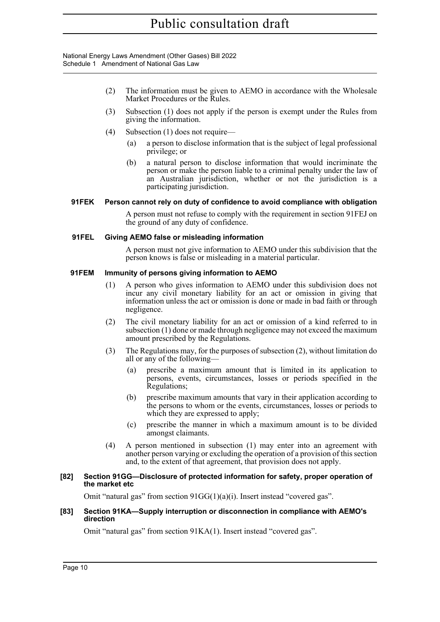National Energy Laws Amendment (Other Gases) Bill 2022 Schedule 1 Amendment of National Gas Law

- (2) The information must be given to AEMO in accordance with the Wholesale Market Procedures or the Rules.
- (3) Subsection (1) does not apply if the person is exempt under the Rules from giving the information.
- (4) Subsection (1) does not require—
	- (a) a person to disclose information that is the subject of legal professional privilege; or
	- (b) a natural person to disclose information that would incriminate the person or make the person liable to a criminal penalty under the law of an Australian jurisdiction, whether or not the jurisdiction is a participating jurisdiction.

#### **91FEK Person cannot rely on duty of confidence to avoid compliance with obligation**

A person must not refuse to comply with the requirement in section 91FEJ on the ground of any duty of confidence.

#### **91FEL Giving AEMO false or misleading information**

A person must not give information to AEMO under this subdivision that the person knows is false or misleading in a material particular.

#### **91FEM Immunity of persons giving information to AEMO**

- (1) A person who gives information to AEMO under this subdivision does not incur any civil monetary liability for an act or omission in giving that information unless the act or omission is done or made in bad faith or through negligence.
- (2) The civil monetary liability for an act or omission of a kind referred to in subsection (1) done or made through negligence may not exceed the maximum amount prescribed by the Regulations.
- (3) The Regulations may, for the purposes of subsection (2), without limitation do all or any of the following—
	- (a) prescribe a maximum amount that is limited in its application to persons, events, circumstances, losses or periods specified in the Regulations;
	- (b) prescribe maximum amounts that vary in their application according to the persons to whom or the events, circumstances, losses or periods to which they are expressed to apply;
	- (c) prescribe the manner in which a maximum amount is to be divided amongst claimants.
- (4) A person mentioned in subsection (1) may enter into an agreement with another person varying or excluding the operation of a provision of this section and, to the extent of that agreement, that provision does not apply.

#### **[82] Section 91GG—Disclosure of protected information for safety, proper operation of the market etc**

Omit "natural gas" from section 91GG(1)(a)(i). Insert instead "covered gas".

#### **[83] Section 91KA—Supply interruption or disconnection in compliance with AEMO's direction**

Omit "natural gas" from section 91KA(1). Insert instead "covered gas".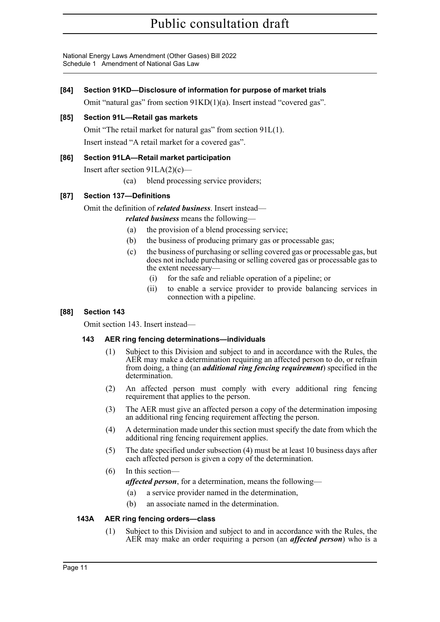National Energy Laws Amendment (Other Gases) Bill 2022 Schedule 1 Amendment of National Gas Law

#### **[84] Section 91KD—Disclosure of information for purpose of market trials**

Omit "natural gas" from section 91KD(1)(a). Insert instead "covered gas".

#### **[85] Section 91L—Retail gas markets**

Omit "The retail market for natural gas" from section 91L(1). Insert instead "A retail market for a covered gas".

#### **[86] Section 91LA—Retail market participation**

Insert after section 91LA(2)(c)—

(ca) blend processing service providers;

#### **[87] Section 137—Definitions**

Omit the definition of *related business*. Insert instead—

*related business* means the following—

- (a) the provision of a blend processing service;
- (b) the business of producing primary gas or processable gas;
- (c) the business of purchasing or selling covered gas or processable gas, but does not include purchasing or selling covered gas or processable gas to the extent necessary—
	- (i) for the safe and reliable operation of a pipeline; or
	- (ii) to enable a service provider to provide balancing services in connection with a pipeline.

#### **[88] Section 143**

Omit section 143. Insert instead—

# **143 AER ring fencing determinations—individuals**

- (1) Subject to this Division and subject to and in accordance with the Rules, the AER may make a determination requiring an affected person to do, or refrain from doing, a thing (an *additional ring fencing requirement*) specified in the determination.
- (2) An affected person must comply with every additional ring fencing requirement that applies to the person.
- (3) The AER must give an affected person a copy of the determination imposing an additional ring fencing requirement affecting the person.
- (4) A determination made under this section must specify the date from which the additional ring fencing requirement applies.
- (5) The date specified under subsection (4) must be at least 10 business days after each affected person is given a copy of the determination.

#### (6) In this section—

*affected person*, for a determination, means the following—

- (a) a service provider named in the determination,
- (b) an associate named in the determination.

#### **143A AER ring fencing orders—class**

(1) Subject to this Division and subject to and in accordance with the Rules, the AER may make an order requiring a person (an *affected person*) who is a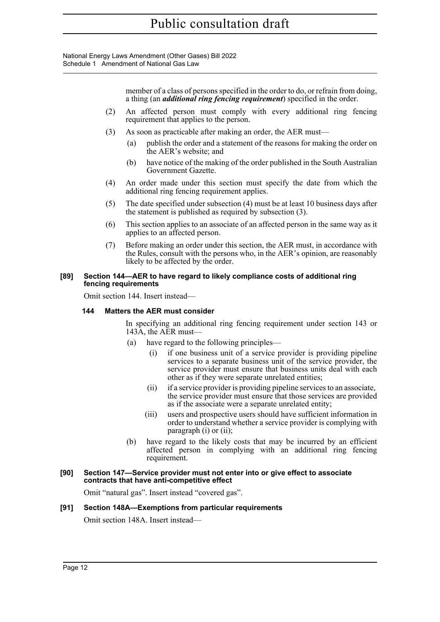National Energy Laws Amendment (Other Gases) Bill 2022 Schedule 1 Amendment of National Gas Law

> member of a class of persons specified in the order to do, or refrain from doing, a thing (an *additional ring fencing requirement*) specified in the order.

- (2) An affected person must comply with every additional ring fencing requirement that applies to the person.
- (3) As soon as practicable after making an order, the AER must—
	- (a) publish the order and a statement of the reasons for making the order on the AER's website; and
	- (b) have notice of the making of the order published in the South Australian Government Gazette.
- (4) An order made under this section must specify the date from which the additional ring fencing requirement applies.
- (5) The date specified under subsection (4) must be at least 10 business days after the statement is published as required by subsection (3).
- (6) This section applies to an associate of an affected person in the same way as it applies to an affected person.
- (7) Before making an order under this section, the AER must, in accordance with the Rules, consult with the persons who, in the AER's opinion, are reasonably likely to be affected by the order.

#### **[89] Section 144—AER to have regard to likely compliance costs of additional ring fencing requirements**

Omit section 144. Insert instead—

#### **144 Matters the AER must consider**

In specifying an additional ring fencing requirement under section 143 or 143A, the AER must—

- (a) have regard to the following principles—
	- (i) if one business unit of a service provider is providing pipeline services to a separate business unit of the service provider, the service provider must ensure that business units deal with each other as if they were separate unrelated entities;
	- (ii) if a service provider is providing pipeline services to an associate, the service provider must ensure that those services are provided as if the associate were a separate unrelated entity;
	- (iii) users and prospective users should have sufficient information in order to understand whether a service provider is complying with paragraph (i) or (ii);
- (b) have regard to the likely costs that may be incurred by an efficient affected person in complying with an additional ring fencing requirement.

#### **[90] Section 147—Service provider must not enter into or give effect to associate contracts that have anti-competitive effect**

Omit "natural gas". Insert instead "covered gas".

#### **[91] Section 148A—Exemptions from particular requirements**

Omit section 148A. Insert instead—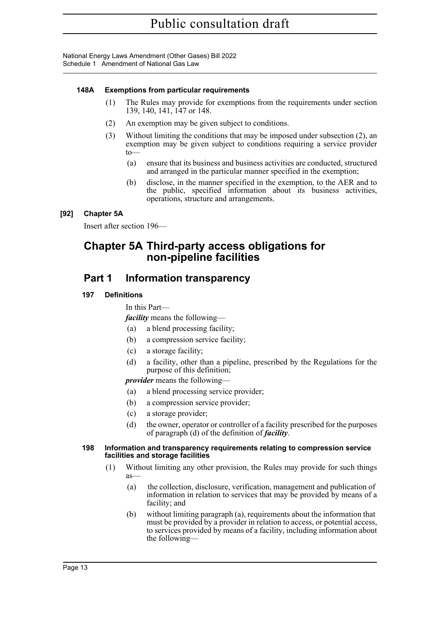National Energy Laws Amendment (Other Gases) Bill 2022 Schedule 1 Amendment of National Gas Law

#### **148A Exemptions from particular requirements**

- (1) The Rules may provide for exemptions from the requirements under section 139, 140, 141, 147 or 148.
- (2) An exemption may be given subject to conditions.
- (3) Without limiting the conditions that may be imposed under subsection (2), an exemption may be given subject to conditions requiring a service provider  $t_0$ 
	- (a) ensure that its business and business activities are conducted, structured and arranged in the particular manner specified in the exemption;
	- (b) disclose, in the manner specified in the exemption, to the AER and to the public, specified information about its business activities, operations, structure and arrangements.

# **[92] Chapter 5A**

Insert after section 196—

# **Chapter 5A Third-party access obligations for non-pipeline facilities**

# **Part 1 Information transparency**

# **197 Definitions**

In this Part—

*facility* means the following—

- (a) a blend processing facility;
- (b) a compression service facility;
- (c) a storage facility;
- (d) a facility, other than a pipeline, prescribed by the Regulations for the purpose of this definition;

*provider* means the following—

- (a) a blend processing service provider;
- (b) a compression service provider;
- (c) a storage provider;
- (d) the owner, operator or controller of a facility prescribed for the purposes of paragraph (d) of the definition of *facility*.

#### **198 Information and transparency requirements relating to compression service facilities and storage facilities**

- (1) Without limiting any other provision, the Rules may provide for such things as—
	- (a) the collection, disclosure, verification, management and publication of information in relation to services that may be provided by means of a facility; and
	- (b) without limiting paragraph (a), requirements about the information that must be provided by a provider in relation to access, or potential access, to services provided by means of a facility, including information about the following—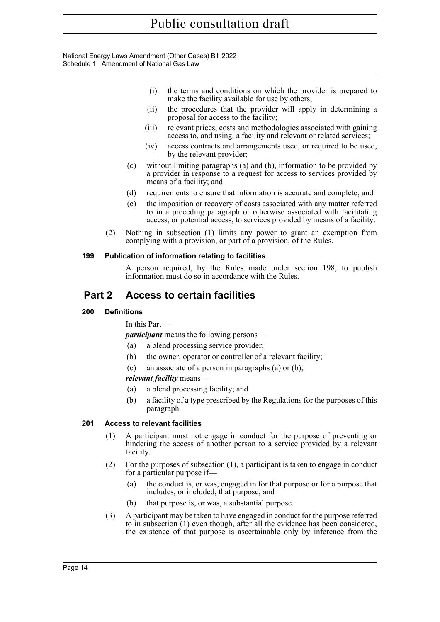National Energy Laws Amendment (Other Gases) Bill 2022 Schedule 1 Amendment of National Gas Law

- (i) the terms and conditions on which the provider is prepared to make the facility available for use by others;
- (ii) the procedures that the provider will apply in determining a proposal for access to the facility;
- (iii) relevant prices, costs and methodologies associated with gaining access to, and using, a facility and relevant or related services;
- (iv) access contracts and arrangements used, or required to be used, by the relevant provider;
- (c) without limiting paragraphs (a) and (b), information to be provided by a provider in response to a request for access to services provided by means of a facility; and
- (d) requirements to ensure that information is accurate and complete; and
- (e) the imposition or recovery of costs associated with any matter referred to in a preceding paragraph or otherwise associated with facilitating access, or potential access, to services provided by means of a facility.
- (2) Nothing in subsection (1) limits any power to grant an exemption from complying with a provision, or part of a provision, of the Rules.

#### **199 Publication of information relating to facilities**

A person required, by the Rules made under section 198, to publish information must do so in accordance with the Rules.

# **Part 2 Access to certain facilities**

#### **200 Definitions**

In this Part—

*participant* means the following persons—

- (a) a blend processing service provider;
- (b) the owner, operator or controller of a relevant facility;
- (c) an associate of a person in paragraphs (a) or (b);

#### *relevant facility* means—

- (a) a blend processing facility; and
- (b) a facility of a type prescribed by the Regulations for the purposes of this paragraph.

#### <span id="page-14-0"></span>**201 Access to relevant facilities**

- (1) A participant must not engage in conduct for the purpose of preventing or hindering the access of another person to a service provided by a relevant facility.
- (2) For the purposes of subsection (1), a participant is taken to engage in conduct for a particular purpose if—
	- (a) the conduct is, or was, engaged in for that purpose or for a purpose that includes, or included, that purpose; and
	- (b) that purpose is, or was, a substantial purpose.
- (3) A participant may be taken to have engaged in conduct for the purpose referred to in subsection (1) even though, after all the evidence has been considered, the existence of that purpose is ascertainable only by inference from the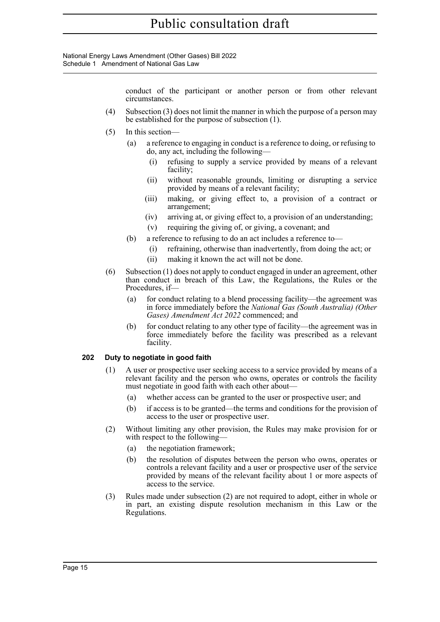National Energy Laws Amendment (Other Gases) Bill 2022 Schedule 1 Amendment of National Gas Law

> conduct of the participant or another person or from other relevant circumstances.

- (4) Subsection (3) does not limit the manner in which the purpose of a person may be established for the purpose of subsection (1).
- (5) In this section—
	- (a) a reference to engaging in conduct is a reference to doing, or refusing to do, any act, including the following—
		- (i) refusing to supply a service provided by means of a relevant facility;
		- (ii) without reasonable grounds, limiting or disrupting a service provided by means of a relevant facility;
		- (iii) making, or giving effect to, a provision of a contract or arrangement;
		- (iv) arriving at, or giving effect to, a provision of an understanding;
		- (v) requiring the giving of, or giving, a covenant; and
	- (b) a reference to refusing to do an act includes a reference to—
		- (i) refraining, otherwise than inadvertently, from doing the act; or
		- (ii) making it known the act will not be done.
- (6) Subsection (1) does not apply to conduct engaged in under an agreement, other than conduct in breach of this Law, the Regulations, the Rules or the Procedures, if—
	- (a) for conduct relating to a blend processing facility—the agreement was in force immediately before the *National Gas (South Australia) (Other Gases) Amendment Act 2022* commenced; and
	- (b) for conduct relating to any other type of facility—the agreement was in force immediately before the facility was prescribed as a relevant facility.

#### **202 Duty to negotiate in good faith**

- (1) A user or prospective user seeking access to a service provided by means of a relevant facility and the person who owns, operates or controls the facility must negotiate in good faith with each other about—
	- (a) whether access can be granted to the user or prospective user; and
	- (b) if access is to be granted—the terms and conditions for the provision of access to the user or prospective user.
- (2) Without limiting any other provision, the Rules may make provision for or with respect to the following-
	- (a) the negotiation framework;
	- (b) the resolution of disputes between the person who owns, operates or controls a relevant facility and a user or prospective user of the service provided by means of the relevant facility about 1 or more aspects of access to the service.
- (3) Rules made under subsection (2) are not required to adopt, either in whole or in part, an existing dispute resolution mechanism in this Law or the Regulations.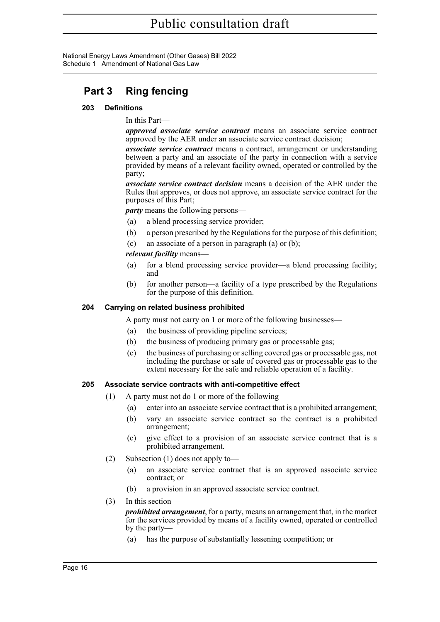National Energy Laws Amendment (Other Gases) Bill 2022 Schedule 1 Amendment of National Gas Law

# **Part 3 Ring fencing**

#### **203 Definitions**

In this Part—

*approved associate service contract* means an associate service contract approved by the AER under an associate service contract decision;

*associate service contract* means a contract, arrangement or understanding between a party and an associate of the party in connection with a service provided by means of a relevant facility owned, operated or controlled by the party;

*associate service contract decision* means a decision of the AER under the Rules that approves, or does not approve, an associate service contract for the purposes of this Part;

*party* means the following persons—

- (a) a blend processing service provider;
- (b) a person prescribed by the Regulations for the purpose of this definition;
- (c) an associate of a person in paragraph (a) or (b);

#### *relevant facility* means—

- (a) for a blend processing service provider—a blend processing facility; and
- (b) for another person—a facility of a type prescribed by the Regulations for the purpose of this definition.

#### **204 Carrying on related business prohibited**

A party must not carry on 1 or more of the following businesses—

- (a) the business of providing pipeline services;
- (b) the business of producing primary gas or processable gas;
- (c) the business of purchasing or selling covered gas or processable gas, not including the purchase or sale of covered gas or processable gas to the extent necessary for the safe and reliable operation of a facility.

#### **205 Associate service contracts with anti-competitive effect**

- (1) A party must not do 1 or more of the following—
	- (a) enter into an associate service contract that is a prohibited arrangement;
	- (b) vary an associate service contract so the contract is a prohibited arrangement;
	- (c) give effect to a provision of an associate service contract that is a prohibited arrangement.
- (2) Subsection (1) does not apply to—
	- (a) an associate service contract that is an approved associate service contract; or
	- (b) a provision in an approved associate service contract.
- (3) In this section—

*prohibited arrangement*, for a party, means an arrangement that, in the market for the services provided by means of a facility owned, operated or controlled by the party—

(a) has the purpose of substantially lessening competition; or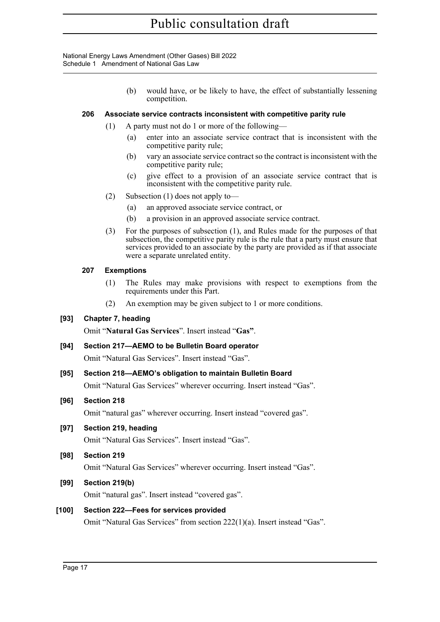National Energy Laws Amendment (Other Gases) Bill 2022 Schedule 1 Amendment of National Gas Law

> (b) would have, or be likely to have, the effect of substantially lessening competition.

#### **206 Associate service contracts inconsistent with competitive parity rule**

- (1) A party must not do 1 or more of the following—
	- (a) enter into an associate service contract that is inconsistent with the competitive parity rule;
	- (b) vary an associate service contract so the contract is inconsistent with the competitive parity rule;
	- (c) give effect to a provision of an associate service contract that is inconsistent with the competitive parity rule.
- (2) Subsection (1) does not apply to—
	- (a) an approved associate service contract, or
	- (b) a provision in an approved associate service contract.
- (3) For the purposes of subsection (1), and Rules made for the purposes of that subsection, the competitive parity rule is the rule that a party must ensure that services provided to an associate by the party are provided as if that associate were a separate unrelated entity.

#### **207 Exemptions**

- (1) The Rules may make provisions with respect to exemptions from the requirements under this Part.
- (2) An exemption may be given subject to 1 or more conditions.

# **[93] Chapter 7, heading**

Omit "**Natural Gas Services**". Insert instead "**Gas"**.

#### **[94] Section 217—AEMO to be Bulletin Board operator**

Omit "Natural Gas Services". Insert instead "Gas".

# **[95] Section 218—AEMO's obligation to maintain Bulletin Board**

Omit "Natural Gas Services" wherever occurring. Insert instead "Gas".

# **[96] Section 218**

Omit "natural gas" wherever occurring. Insert instead "covered gas".

# **[97] Section 219, heading**

Omit "Natural Gas Services". Insert instead "Gas".

# **[98] Section 219**

Omit "Natural Gas Services" wherever occurring. Insert instead "Gas".

# **[99] Section 219(b)**

Omit "natural gas". Insert instead "covered gas".

# **[100] Section 222—Fees for services provided**

Omit "Natural Gas Services" from section 222(1)(a). Insert instead "Gas".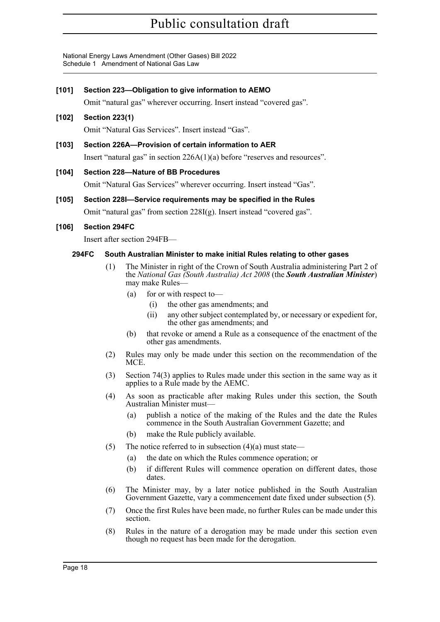National Energy Laws Amendment (Other Gases) Bill 2022 Schedule 1 Amendment of National Gas Law

#### **[101] Section 223—Obligation to give information to AEMO**

Omit "natural gas" wherever occurring. Insert instead "covered gas".

#### **[102] Section 223(1)**

Omit "Natural Gas Services". Insert instead "Gas".

#### **[103] Section 226A—Provision of certain information to AER**

Insert "natural gas" in section 226A(1)(a) before "reserves and resources".

#### **[104] Section 228—Nature of BB Procedures**

Omit "Natural Gas Services" wherever occurring. Insert instead "Gas".

# **[105] Section 228I—Service requirements may be specified in the Rules** Omit "natural gas" from section 228I(g). Insert instead "covered gas".

#### **[106] Section 294FC**

Insert after section 294FB—

#### **294FC South Australian Minister to make initial Rules relating to other gases**

- (1) The Minister in right of the Crown of South Australia administering Part 2 of the *National Gas (South Australia) Act 2008* (the *South Australian Minister*) may make Rules—
	- (a) for or with respect to—
		- (i) the other gas amendments; and
		- (ii) any other subject contemplated by, or necessary or expedient for, the other gas amendments; and
	- (b) that revoke or amend a Rule as a consequence of the enactment of the other gas amendments.
- (2) Rules may only be made under this section on the recommendation of the MCE.
- (3) Section 74(3) applies to Rules made under this section in the same way as it applies to a Rule made by the AEMC.
- (4) As soon as practicable after making Rules under this section, the South Australian Minister must—
	- (a) publish a notice of the making of the Rules and the date the Rules commence in the South Australian Government Gazette; and
	- (b) make the Rule publicly available.
- (5) The notice referred to in subsection  $(4)(a)$  must state—
	- (a) the date on which the Rules commence operation; or
	- (b) if different Rules will commence operation on different dates, those dates.
- (6) The Minister may, by a later notice published in the South Australian Government Gazette, vary a commencement date fixed under subsection (5).
- (7) Once the first Rules have been made, no further Rules can be made under this section.
- (8) Rules in the nature of a derogation may be made under this section even though no request has been made for the derogation.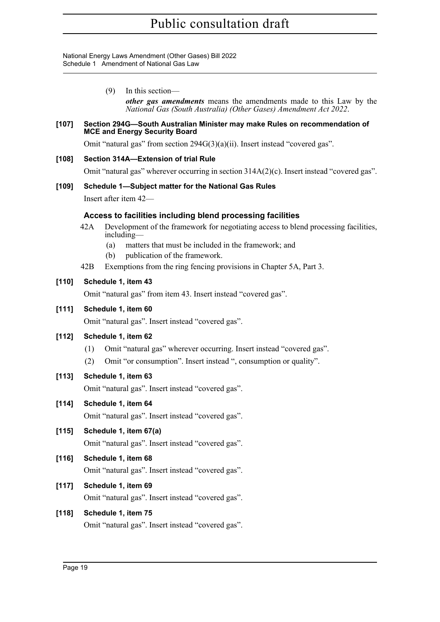National Energy Laws Amendment (Other Gases) Bill 2022 Schedule 1 Amendment of National Gas Law

> (9) In this section *other gas amendments* means the amendments made to this Law by the *National Gas (South Australia) (Other Gases) Amendment Act 2022*.

#### **[107] Section 294G—South Australian Minister may make Rules on recommendation of MCE and Energy Security Board**

Omit "natural gas" from section 294G(3)(a)(ii). Insert instead "covered gas".

```
[108] Section 314A—Extension of trial Rule
```
Omit "natural gas" wherever occurring in section 314A(2)(c). Insert instead "covered gas".

#### **[109] Schedule 1—Subject matter for the National Gas Rules**

Insert after item 42—

# **Access to facilities including blend processing facilities**

- 42A Development of the framework for negotiating access to blend processing facilities, including—
	- (a) matters that must be included in the framework; and
	- (b) publication of the framework.
- 42B Exemptions from the ring fencing provisions in Chapter 5A, Part 3.

# **[110] Schedule 1, item 43**

Omit "natural gas" from item 43. Insert instead "covered gas".

#### **[111] Schedule 1, item 60**

Omit "natural gas". Insert instead "covered gas".

#### **[112] Schedule 1, item 62**

- (1) Omit "natural gas" wherever occurring. Insert instead "covered gas".
- (2) Omit "or consumption". Insert instead ", consumption or quality".

# **[113] Schedule 1, item 63**

Omit "natural gas". Insert instead "covered gas".

# **[114] Schedule 1, item 64**

Omit "natural gas". Insert instead "covered gas".

# **[115] Schedule 1, item 67(a)**

Omit "natural gas". Insert instead "covered gas".

# **[116] Schedule 1, item 68**

Omit "natural gas". Insert instead "covered gas".

# **[117] Schedule 1, item 69**

Omit "natural gas". Insert instead "covered gas".

# **[118] Schedule 1, item 75**

Omit "natural gas". Insert instead "covered gas".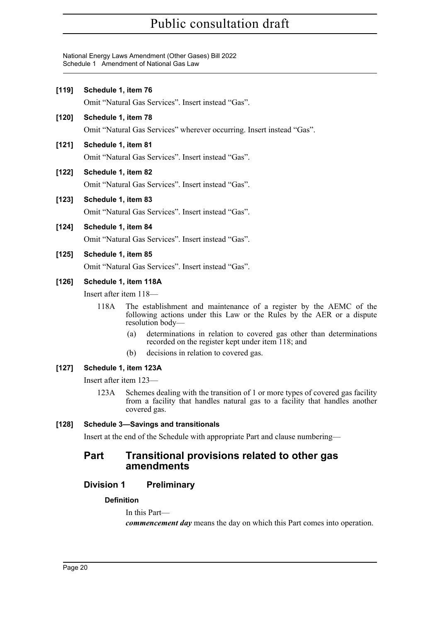National Energy Laws Amendment (Other Gases) Bill 2022 Schedule 1 Amendment of National Gas Law

**[119] Schedule 1, item 76**

| 11191   | Schedule 1, item 76                               |                                                                                                                                                                 |  |  |  |  |  |  |
|---------|---------------------------------------------------|-----------------------------------------------------------------------------------------------------------------------------------------------------------------|--|--|--|--|--|--|
|         |                                                   | Omit "Natural Gas Services". Insert instead "Gas".                                                                                                              |  |  |  |  |  |  |
| $[120]$ | Schedule 1, item 78                               |                                                                                                                                                                 |  |  |  |  |  |  |
|         |                                                   | Omit "Natural Gas Services" wherever occurring. Insert instead "Gas".                                                                                           |  |  |  |  |  |  |
| [121]   | Schedule 1, item 81                               |                                                                                                                                                                 |  |  |  |  |  |  |
|         |                                                   | Omit "Natural Gas Services". Insert instead "Gas".                                                                                                              |  |  |  |  |  |  |
| $[122]$ | Schedule 1, item 82                               |                                                                                                                                                                 |  |  |  |  |  |  |
|         |                                                   | Omit "Natural Gas Services". Insert instead "Gas".                                                                                                              |  |  |  |  |  |  |
| $[123]$ | Schedule 1, item 83                               |                                                                                                                                                                 |  |  |  |  |  |  |
|         |                                                   | Omit "Natural Gas Services". Insert instead "Gas".                                                                                                              |  |  |  |  |  |  |
| $[124]$ | Schedule 1, item 84                               |                                                                                                                                                                 |  |  |  |  |  |  |
|         |                                                   | Omit "Natural Gas Services". Insert instead "Gas".                                                                                                              |  |  |  |  |  |  |
| $[125]$ | Schedule 1, item 85                               |                                                                                                                                                                 |  |  |  |  |  |  |
|         |                                                   | Omit "Natural Gas Services". Insert instead "Gas".                                                                                                              |  |  |  |  |  |  |
| $[126]$ | Schedule 1, item 118A                             |                                                                                                                                                                 |  |  |  |  |  |  |
|         | Insert after item $118-$                          |                                                                                                                                                                 |  |  |  |  |  |  |
|         | 118A                                              | The establishment and maintenance of a register by the AEMC of the<br>following actions under this Law or the Rules by the AER or a dispute<br>resolution body— |  |  |  |  |  |  |
|         |                                                   | determinations in relation to covered gas other than determinations<br>(a)<br>recorded on the register kept under item 118; and                                 |  |  |  |  |  |  |
|         |                                                   | decisions in relation to covered gas.<br>(b)                                                                                                                    |  |  |  |  |  |  |
| $[127]$ | Schedule 1, item 123A<br>Insert after item $123-$ |                                                                                                                                                                 |  |  |  |  |  |  |
|         |                                                   |                                                                                                                                                                 |  |  |  |  |  |  |

123A Schemes dealing with the transition of 1 or more types of covered gas facility from a facility that handles natural gas to a facility that handles another covered gas.

# **[128] Schedule 3—Savings and transitionals**

Insert at the end of the Schedule with appropriate Part and clause numbering—

# **Part Transitional provisions related to other gas amendments**

# **Division 1 Preliminary**

# **Definition**

In this Part—

*commencement day* means the day on which this Part comes into operation.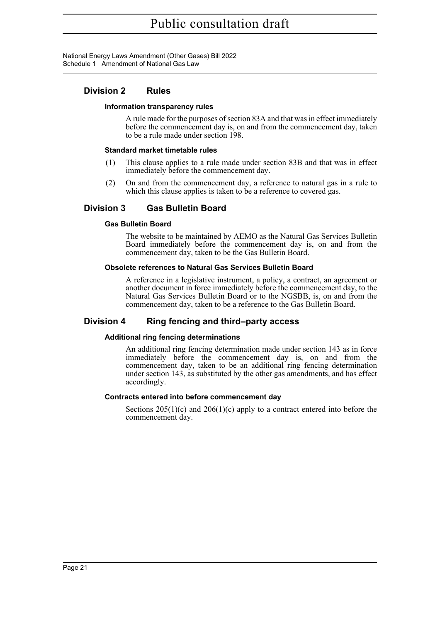National Energy Laws Amendment (Other Gases) Bill 2022 Schedule 1 Amendment of National Gas Law

# **Division 2 Rules**

#### **Information transparency rules**

A rule made for the purposes of section 83A and that was in effect immediately before the commencement day is, on and from the commencement day, taken to be a rule made under section 198.

#### **Standard market timetable rules**

- (1) This clause applies to a rule made under section 83B and that was in effect immediately before the commencement day.
- (2) On and from the commencement day, a reference to natural gas in a rule to which this clause applies is taken to be a reference to covered gas.

# **Division 3 Gas Bulletin Board**

#### **Gas Bulletin Board**

The website to be maintained by AEMO as the Natural Gas Services Bulletin Board immediately before the commencement day is, on and from the commencement day, taken to be the Gas Bulletin Board.

#### **Obsolete references to Natural Gas Services Bulletin Board**

A reference in a legislative instrument, a policy, a contract, an agreement or another document in force immediately before the commencement day, to the Natural Gas Services Bulletin Board or to the NGSBB, is, on and from the commencement day, taken to be a reference to the Gas Bulletin Board.

# **Division 4 Ring fencing and third–party access**

#### **Additional ring fencing determinations**

An additional ring fencing determination made under section 143 as in force immediately before the commencement day is, on and from the commencement day, taken to be an additional ring fencing determination under section 143, as substituted by the other gas amendments, and has effect accordingly.

#### **Contracts entered into before commencement day**

Sections  $205(1)(c)$  and  $206(1)(c)$  apply to a contract entered into before the commencement day.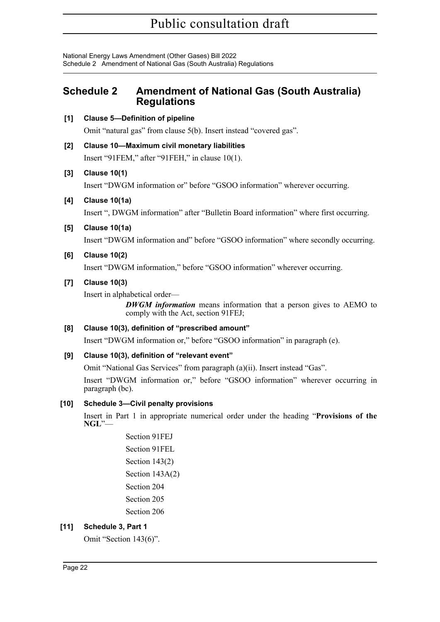National Energy Laws Amendment (Other Gases) Bill 2022 Schedule 2 Amendment of National Gas (South Australia) Regulations

# <span id="page-22-0"></span>**Schedule 2 Amendment of National Gas (South Australia) Regulations**

**[1] Clause 5—Definition of pipeline**

Omit "natural gas" from clause 5(b). Insert instead "covered gas".

**[2] Clause 10—Maximum civil monetary liabilities**

Insert "91FEM," after "91FEH," in clause 10(1).

# **[3] Clause 10(1)**

Insert "DWGM information or" before "GSOO information" wherever occurring.

**[4] Clause 10(1a)**

Insert ", DWGM information" after "Bulletin Board information" where first occurring.

**[5] Clause 10(1a)**

Insert "DWGM information and" before "GSOO information" where secondly occurring.

# **[6] Clause 10(2)**

Insert "DWGM information," before "GSOO information" wherever occurring.

# **[7] Clause 10(3)**

Insert in alphabetical order—

*DWGM information* means information that a person gives to AEMO to comply with the Act, section 91FEJ;

# **[8] Clause 10(3), definition of "prescribed amount"**

Insert "DWGM information or," before "GSOO information" in paragraph (e).

# **[9] Clause 10(3), definition of "relevant event"**

Omit "National Gas Services" from paragraph (a)(ii). Insert instead "Gas".

Insert "DWGM information or," before "GSOO information" wherever occurring in paragraph (bc).

# **[10] Schedule 3—Civil penalty provisions**

Insert in Part 1 in appropriate numerical order under the heading "**Provisions of the NGL**"—

> Section 91FEJ Section 91FEL Section 143(2) Section 143A(2) Section 204 Section 205 Section 206

# **[11] Schedule 3, Part 1**

Omit "Section 143(6)".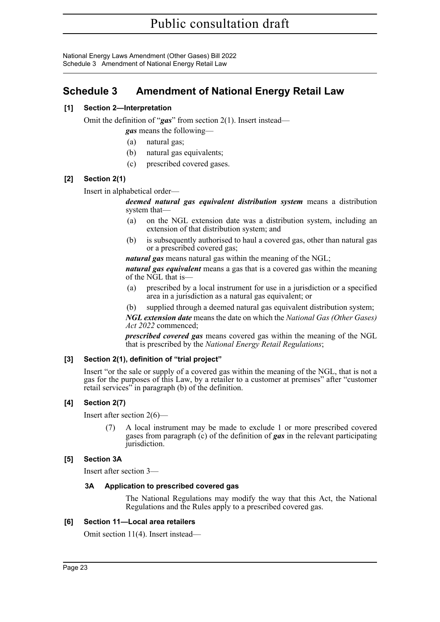National Energy Laws Amendment (Other Gases) Bill 2022 Schedule 3 Amendment of National Energy Retail Law

# <span id="page-23-0"></span>**Schedule 3 Amendment of National Energy Retail Law**

# **[1] Section 2—Interpretation**

Omit the definition of "*gas*" from section 2(1). Insert instead—

*gas* means the following—

- (a) natural gas;
- (b) natural gas equivalents;
- (c) prescribed covered gases.

#### **[2] Section 2(1)**

Insert in alphabetical order—

*deemed natural gas equivalent distribution system* means a distribution system that—

- (a) on the NGL extension date was a distribution system, including an extension of that distribution system; and
- (b) is subsequently authorised to haul a covered gas, other than natural gas or a prescribed covered gas;

*natural gas* means natural gas within the meaning of the NGL;

*natural gas equivalent* means a gas that is a covered gas within the meaning of the NGL that is—

- (a) prescribed by a local instrument for use in a jurisdiction or a specified area in a jurisdiction as a natural gas equivalent; or
- (b) supplied through a deemed natural gas equivalent distribution system;

*NGL extension date* means the date on which the *National Gas (Other Gases) Act 2022* commenced;

*prescribed covered gas* means covered gas within the meaning of the NGL that is prescribed by the *National Energy Retail Regulations*;

#### **[3] Section 2(1), definition of "trial project"**

Insert "or the sale or supply of a covered gas within the meaning of the NGL, that is not a gas for the purposes of this Law, by a retailer to a customer at premises" after "customer retail services" in paragraph (b) of the definition.

#### **[4] Section 2(7)**

Insert after section 2(6)—

(7) A local instrument may be made to exclude 1 or more prescribed covered gases from paragraph (c) of the definition of *gas* in the relevant participating jurisdiction.

#### **[5] Section 3A**

Insert after section 3—

#### **3A Application to prescribed covered gas**

The National Regulations may modify the way that this Act, the National Regulations and the Rules apply to a prescribed covered gas.

#### **[6] Section 11—Local area retailers**

Omit section 11(4). Insert instead—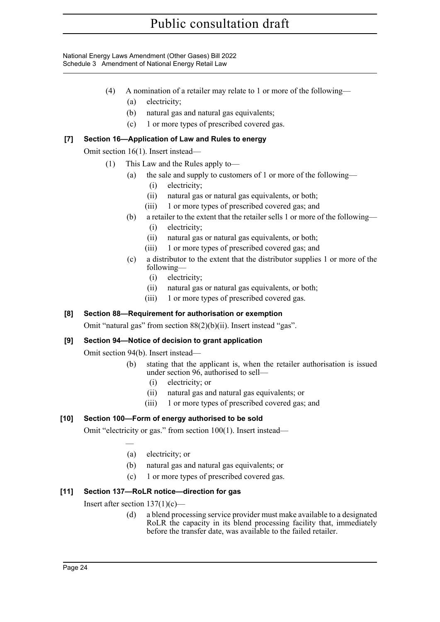National Energy Laws Amendment (Other Gases) Bill 2022 Schedule 3 Amendment of National Energy Retail Law

- (4) A nomination of a retailer may relate to 1 or more of the following—
	- (a) electricity;
	- (b) natural gas and natural gas equivalents;
	- (c) 1 or more types of prescribed covered gas.

# **[7] Section 16—Application of Law and Rules to energy**

Omit section 16(1). Insert instead—

- (1) This Law and the Rules apply to—
	- (a) the sale and supply to customers of 1 or more of the following—
		- (i) electricity;
		- (ii) natural gas or natural gas equivalents, or both;
		- (iii) 1 or more types of prescribed covered gas; and
	- (b) a retailer to the extent that the retailer sells 1 or more of the following—
		- (i) electricity;
		- (ii) natural gas or natural gas equivalents, or both;
		- (iii) 1 or more types of prescribed covered gas; and
	- (c) a distributor to the extent that the distributor supplies 1 or more of the following—
		- (i) electricity;
		- (ii) natural gas or natural gas equivalents, or both;
		- (iii) 1 or more types of prescribed covered gas.

# **[8] Section 88—Requirement for authorisation or exemption**

Omit "natural gas" from section 88(2)(b)(ii). Insert instead "gas".

# **[9] Section 94—Notice of decision to grant application**

Omit section 94(b). Insert instead—

- (b) stating that the applicant is, when the retailer authorisation is issued under section 96, authorised to sell—
	- (i) electricity; or
	- (ii) natural gas and natural gas equivalents; or
	- (iii) 1 or more types of prescribed covered gas; and

# **[10] Section 100—Form of energy authorised to be sold**

Omit "electricity or gas." from section 100(1). Insert instead—

—

- (a) electricity; or
- (b) natural gas and natural gas equivalents; or
- (c) 1 or more types of prescribed covered gas.

# **[11] Section 137—RoLR notice—direction for gas**

Insert after section  $137(1)(c)$ —

(d) a blend processing service provider must make available to a designated RoLR the capacity in its blend processing facility that, immediately before the transfer date, was available to the failed retailer.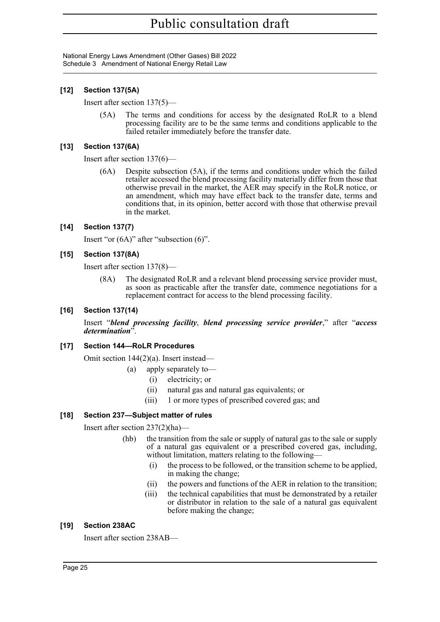National Energy Laws Amendment (Other Gases) Bill 2022 Schedule 3 Amendment of National Energy Retail Law

#### **[12] Section 137(5A)**

Insert after section 137(5)—

(5A) The terms and conditions for access by the designated RoLR to a blend processing facility are to be the same terms and conditions applicable to the failed retailer immediately before the transfer date.

#### **[13] Section 137(6A)**

Insert after section 137(6)—

(6A) Despite subsection (5A), if the terms and conditions under which the failed retailer accessed the blend processing facility materially differ from those that otherwise prevail in the market, the AER may specify in the RoLR notice, or an amendment, which may have effect back to the transfer date, terms and conditions that, in its opinion, better accord with those that otherwise prevail in the market.

#### **[14] Section 137(7)**

Insert "or (6A)" after "subsection (6)".

#### **[15] Section 137(8A)**

Insert after section 137(8)—

(8A) The designated RoLR and a relevant blend processing service provider must, as soon as practicable after the transfer date, commence negotiations for a replacement contract for access to the blend processing facility.

#### **[16] Section 137(14)**

Insert "*blend processing facility*, *blend processing service provider*," after "*access determination*".

#### **[17] Section 144—RoLR Procedures**

Omit section 144(2)(a). Insert instead—

- (a) apply separately to—
	- (i) electricity; or
	- (ii) natural gas and natural gas equivalents; or
	- (iii) 1 or more types of prescribed covered gas; and

# **[18] Section 237—Subject matter of rules**

Insert after section 237(2)(ha)—

- (hb) the transition from the sale or supply of natural gas to the sale or supply of a natural gas equivalent or a prescribed covered gas, including, without limitation, matters relating to the following—
	- (i) the process to be followed, or the transition scheme to be applied, in making the change;
	- (ii) the powers and functions of the AER in relation to the transition;
	- (iii) the technical capabilities that must be demonstrated by a retailer or distributor in relation to the sale of a natural gas equivalent before making the change;

#### **[19] Section 238AC**

Insert after section 238AB—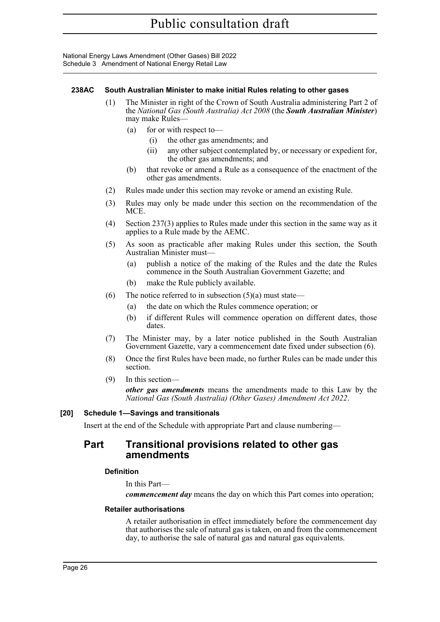National Energy Laws Amendment (Other Gases) Bill 2022 Schedule 3 Amendment of National Energy Retail Law

#### **238AC South Australian Minister to make initial Rules relating to other gases**

- (1) The Minister in right of the Crown of South Australia administering Part 2 of the *National Gas (South Australia) Act 2008* (the *South Australian Minister*) may make Rules—
	- (a) for or with respect to—
		- (i) the other gas amendments; and
		- (ii) any other subject contemplated by, or necessary or expedient for, the other gas amendments; and
	- (b) that revoke or amend a Rule as a consequence of the enactment of the other gas amendments.
- (2) Rules made under this section may revoke or amend an existing Rule.
- (3) Rules may only be made under this section on the recommendation of the MCE.
- (4) Section 237(3) applies to Rules made under this section in the same way as it applies to a Rule made by the AEMC.
- (5) As soon as practicable after making Rules under this section, the South Australian Minister must—
	- (a) publish a notice of the making of the Rules and the date the Rules commence in the South Australian Government Gazette; and
	- (b) make the Rule publicly available.
- (6) The notice referred to in subsection  $(5)(a)$  must state—
	- (a) the date on which the Rules commence operation; or
	- (b) if different Rules will commence operation on different dates, those dates.
- (7) The Minister may, by a later notice published in the South Australian Government Gazette, vary a commencement date fixed under subsection (6).
- (8) Once the first Rules have been made, no further Rules can be made under this section.
- (9) In this section—

*other gas amendments* means the amendments made to this Law by the *National Gas (South Australia) (Other Gases) Amendment Act 2022*.

#### **[20] Schedule 1—Savings and transitionals**

Insert at the end of the Schedule with appropriate Part and clause numbering—

# **Part Transitional provisions related to other gas amendments**

#### **Definition**

In this Part—

*commencement day* means the day on which this Part comes into operation;

#### **Retailer authorisations**

A retailer authorisation in effect immediately before the commencement day that authorises the sale of natural gas is taken, on and from the commencement day, to authorise the sale of natural gas and natural gas equivalents.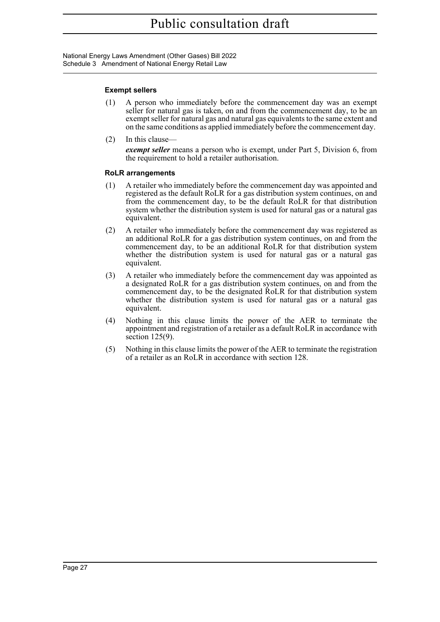National Energy Laws Amendment (Other Gases) Bill 2022 Schedule 3 Amendment of National Energy Retail Law

#### **Exempt sellers**

- (1) A person who immediately before the commencement day was an exempt seller for natural gas is taken, on and from the commencement day, to be an exempt seller for natural gas and natural gas equivalents to the same extent and on the same conditions as applied immediately before the commencement day.
- (2) In this clause *exempt seller* means a person who is exempt, under Part 5, Division 6, from the requirement to hold a retailer authorisation.

#### **RoLR arrangements**

- (1) A retailer who immediately before the commencement day was appointed and registered as the default RoLR for a gas distribution system continues, on and from the commencement day, to be the default RoLR for that distribution system whether the distribution system is used for natural gas or a natural gas equivalent.
- (2) A retailer who immediately before the commencement day was registered as an additional RoLR for a gas distribution system continues, on and from the commencement day, to be an additional RoLR for that distribution system whether the distribution system is used for natural gas or a natural gas equivalent.
- (3) A retailer who immediately before the commencement day was appointed as a designated RoLR for a gas distribution system continues, on and from the commencement day, to be the designated RoLR for that distribution system whether the distribution system is used for natural gas or a natural gas equivalent.
- (4) Nothing in this clause limits the power of the AER to terminate the appointment and registration of a retailer as a default RoLR in accordance with section 125(9).
- (5) Nothing in this clause limits the power of the AER to terminate the registration of a retailer as an RoLR in accordance with section 128.